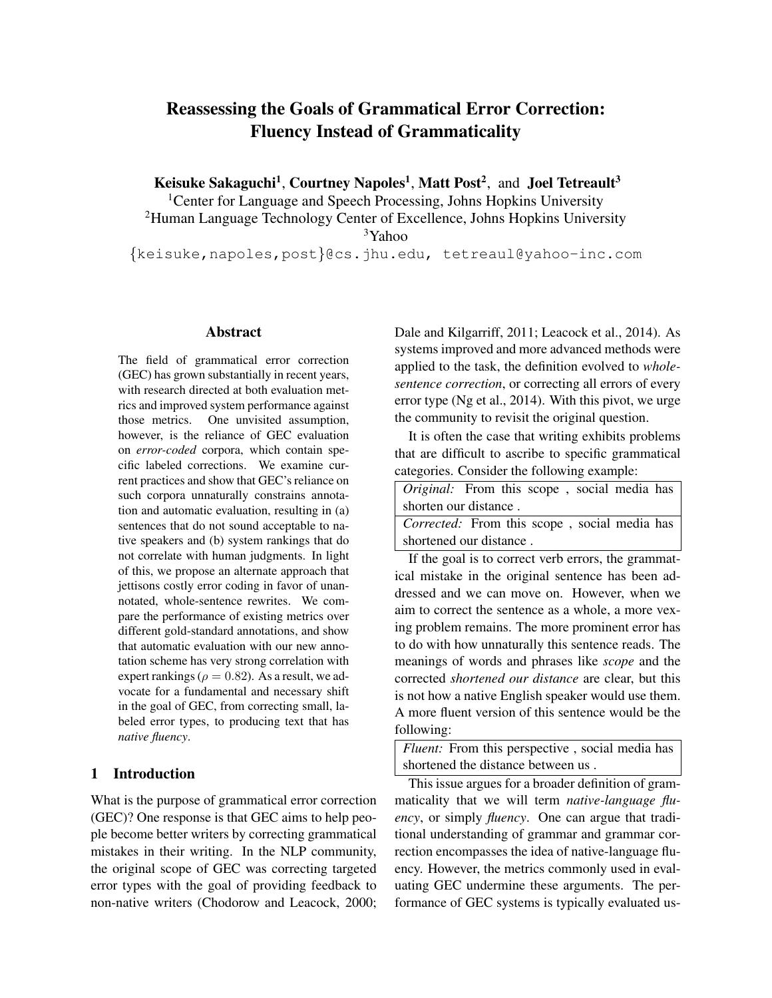# Reassessing the Goals of Grammatical Error Correction: Fluency Instead of Grammaticality

Keisuke Sakaguchi<sup>1</sup>, Courtney Napoles<sup>1</sup>, Matt Post<sup>2</sup>, and Joel Tetreault<sup>3</sup>

<sup>1</sup> Center for Language and Speech Processing, Johns Hopkins University <sup>2</sup>Human Language Technology Center of Excellence, Johns Hopkins University <sup>3</sup>Yahoo

{keisuke,napoles,post}@cs.jhu.edu, tetreaul@yahoo-inc.com

#### Abstract

The field of grammatical error correction (GEC) has grown substantially in recent years, with research directed at both evaluation metrics and improved system performance against those metrics. One unvisited assumption, however, is the reliance of GEC evaluation on *error-coded* corpora, which contain specific labeled corrections. We examine current practices and show that GEC's reliance on such corpora unnaturally constrains annotation and automatic evaluation, resulting in (a) sentences that do not sound acceptable to native speakers and (b) system rankings that do not correlate with human judgments. In light of this, we propose an alternate approach that jettisons costly error coding in favor of unannotated, whole-sentence rewrites. We compare the performance of existing metrics over different gold-standard annotations, and show that automatic evaluation with our new annotation scheme has very strong correlation with expert rankings ( $\rho = 0.82$ ). As a result, we advocate for a fundamental and necessary shift in the goal of GEC, from correcting small, labeled error types, to producing text that has *native fluency*.

## 1 Introduction

What is the purpose of grammatical error correction (GEC)? One response is that GEC aims to help people become better writers by correcting grammatical mistakes in their writing. In the NLP community, the original scope of GEC was correcting targeted error types with the goal of providing feedback to non-native writers [\(Chodorow and Leacock, 2000;](#page-12-0) [Dale and Kilgarriff, 2011;](#page-12-1) [Leacock et al., 2014\)](#page-12-2). As systems improved and more advanced methods were applied to the task, the definition evolved to *wholesentence correction*, or correcting all errors of every error type [\(Ng et al., 2014\)](#page-13-0). With this pivot, we urge the community to revisit the original question.

It is often the case that writing exhibits problems that are difficult to ascribe to specific grammatical categories. Consider the following example:

| <i>Original:</i> From this scope, social media has |  |  |  |  |  |  |
|----------------------------------------------------|--|--|--|--|--|--|
| shorten our distance.                              |  |  |  |  |  |  |
| Corrected: From this scope, social media has       |  |  |  |  |  |  |

shortened our distance .

If the goal is to correct verb errors, the grammatical mistake in the original sentence has been addressed and we can move on. However, when we aim to correct the sentence as a whole, a more vexing problem remains. The more prominent error has to do with how unnaturally this sentence reads. The meanings of words and phrases like *scope* and the corrected *shortened our distance* are clear, but this is not how a native English speaker would use them. A more fluent version of this sentence would be the following:

*Fluent:* From this perspective , social media has shortened the distance between us .

This issue argues for a broader definition of grammaticality that we will term *native-language fluency*, or simply *fluency*. One can argue that traditional understanding of grammar and grammar correction encompasses the idea of native-language fluency. However, the metrics commonly used in evaluating GEC undermine these arguments. The performance of GEC systems is typically evaluated us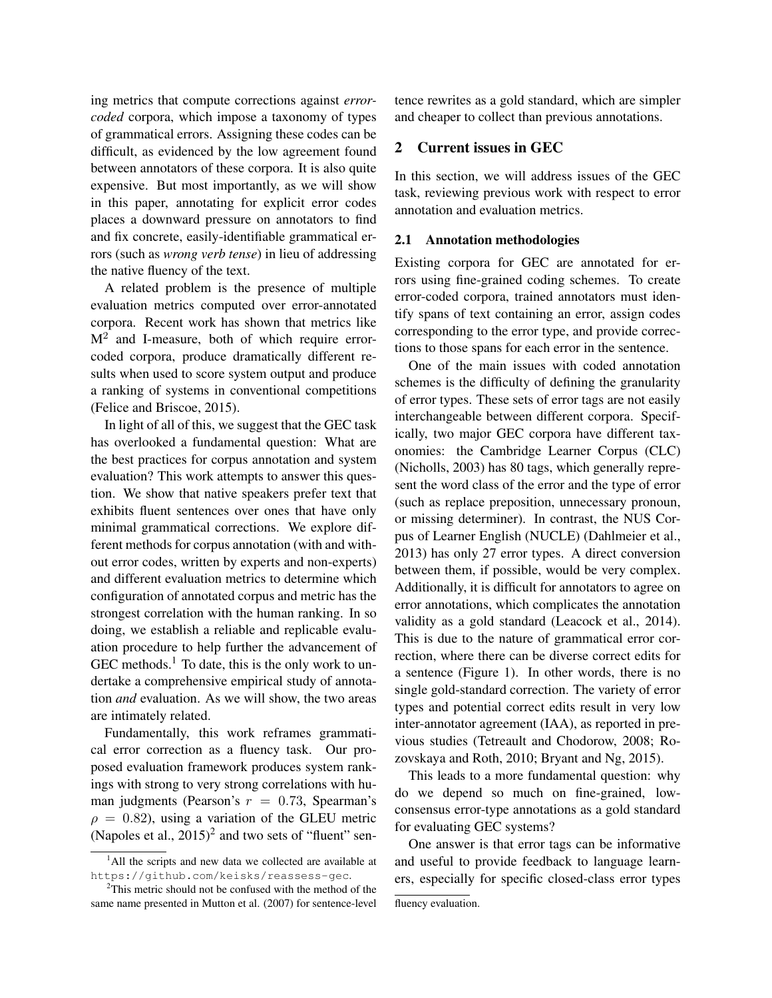ing metrics that compute corrections against *errorcoded* corpora, which impose a taxonomy of types of grammatical errors. Assigning these codes can be difficult, as evidenced by the low agreement found between annotators of these corpora. It is also quite expensive. But most importantly, as we will show in this paper, annotating for explicit error codes places a downward pressure on annotators to find and fix concrete, easily-identifiable grammatical errors (such as *wrong verb tense*) in lieu of addressing the native fluency of the text.

A related problem is the presence of multiple evaluation metrics computed over error-annotated corpora. Recent work has shown that metrics like  $M<sup>2</sup>$  and I-measure, both of which require errorcoded corpora, produce dramatically different results when used to score system output and produce a ranking of systems in conventional competitions [\(Felice and Briscoe, 2015\)](#page-12-3).

In light of all of this, we suggest that the GEC task has overlooked a fundamental question: What are the best practices for corpus annotation and system evaluation? This work attempts to answer this question. We show that native speakers prefer text that exhibits fluent sentences over ones that have only minimal grammatical corrections. We explore different methods for corpus annotation (with and without error codes, written by experts and non-experts) and different evaluation metrics to determine which configuration of annotated corpus and metric has the strongest correlation with the human ranking. In so doing, we establish a reliable and replicable evaluation procedure to help further the advancement of  $GEC$  methods.<sup>[1](#page-1-0)</sup> To date, this is the only work to undertake a comprehensive empirical study of annotation *and* evaluation. As we will show, the two areas are intimately related.

Fundamentally, this work reframes grammatical error correction as a fluency task. Our proposed evaluation framework produces system rankings with strong to very strong correlations with human judgments (Pearson's  $r = 0.73$ , Spearman's  $\rho = 0.82$ ), using a variation of the GLEU metric (Napoles et al.,  $2015)^2$  $2015)^2$  and two sets of "fluent" sentence rewrites as a gold standard, which are simpler and cheaper to collect than previous annotations.

# 2 Current issues in GEC

In this section, we will address issues of the GEC task, reviewing previous work with respect to error annotation and evaluation metrics.

#### 2.1 Annotation methodologies

Existing corpora for GEC are annotated for errors using fine-grained coding schemes. To create error-coded corpora, trained annotators must identify spans of text containing an error, assign codes corresponding to the error type, and provide corrections to those spans for each error in the sentence.

One of the main issues with coded annotation schemes is the difficulty of defining the granularity of error types. These sets of error tags are not easily interchangeable between different corpora. Specifically, two major GEC corpora have different taxonomies: the Cambridge Learner Corpus (CLC) [\(Nicholls, 2003\)](#page-13-1) has 80 tags, which generally represent the word class of the error and the type of error (such as replace preposition, unnecessary pronoun, or missing determiner). In contrast, the NUS Corpus of Learner English (NUCLE) [\(Dahlmeier et al.,](#page-12-6) [2013\)](#page-12-6) has only 27 error types. A direct conversion between them, if possible, would be very complex. Additionally, it is difficult for annotators to agree on error annotations, which complicates the annotation validity as a gold standard [\(Leacock et al., 2014\)](#page-12-2). This is due to the nature of grammatical error correction, where there can be diverse correct edits for a sentence (Figure [1\)](#page-2-0). In other words, there is no single gold-standard correction. The variety of error types and potential correct edits result in very low inter-annotator agreement (IAA), as reported in previous studies [\(Tetreault and Chodorow, 2008;](#page-13-2) [Ro](#page-13-3)[zovskaya and Roth, 2010;](#page-13-3) [Bryant and Ng, 2015\)](#page-12-7).

This leads to a more fundamental question: why do we depend so much on fine-grained, lowconsensus error-type annotations as a gold standard for evaluating GEC systems?

One answer is that error tags can be informative and useful to provide feedback to language learners, especially for specific closed-class error types

<span id="page-1-0"></span><sup>&</sup>lt;sup>1</sup>All the scripts and new data we collected are available at <https://github.com/keisks/reassess-gec>.

<span id="page-1-1"></span><sup>2</sup>This metric should not be confused with the method of the same name presented in Mutton et al. [\(2007\)](#page-12-5) for sentence-level

fluency evaluation.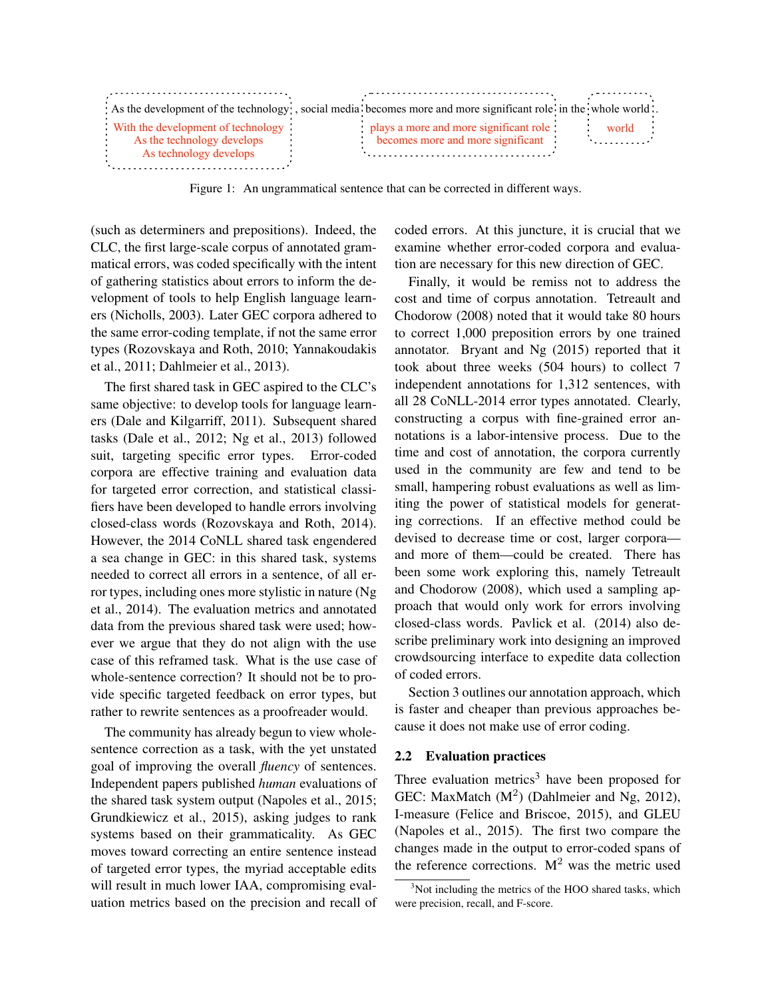|                                                                  | As the development of the technology, social media becomes more and more significant role in the whole world. |                                         |  |
|------------------------------------------------------------------|---------------------------------------------------------------------------------------------------------------|-----------------------------------------|--|
| With the development of technology<br>As the technology develops | plays a more and more significant role<br>becomes more and more significant                                   | world<br><b>Contract Contract State</b> |  |
| As technology develops                                           |                                                                                                               |                                         |  |

<span id="page-2-0"></span>Figure 1: An ungrammatical sentence that can be corrected in different ways.

(such as determiners and prepositions). Indeed, the CLC, the first large-scale corpus of annotated grammatical errors, was coded specifically with the intent of gathering statistics about errors to inform the development of tools to help English language learners [\(Nicholls, 2003\)](#page-13-1). Later GEC corpora adhered to the same error-coding template, if not the same error types [\(Rozovskaya and Roth, 2010;](#page-13-3) [Yannakoudakis](#page-13-4) [et al., 2011;](#page-13-4) [Dahlmeier et al., 2013\)](#page-12-6).

The first shared task in GEC aspired to the CLC's same objective: to develop tools for language learners [\(Dale and Kilgarriff, 2011\)](#page-12-1). Subsequent shared tasks [\(Dale et al., 2012;](#page-12-8) [Ng et al., 2013\)](#page-13-5) followed suit, targeting specific error types. Error-coded corpora are effective training and evaluation data for targeted error correction, and statistical classifiers have been developed to handle errors involving closed-class words [\(Rozovskaya and Roth, 2014\)](#page-13-6). However, the 2014 CoNLL shared task engendered a sea change in GEC: in this shared task, systems needed to correct all errors in a sentence, of all error types, including ones more stylistic in nature [\(Ng](#page-13-0) [et al., 2014\)](#page-13-0). The evaluation metrics and annotated data from the previous shared task were used; however we argue that they do not align with the use case of this reframed task. What is the use case of whole-sentence correction? It should not be to provide specific targeted feedback on error types, but rather to rewrite sentences as a proofreader would.

The community has already begun to view wholesentence correction as a task, with the yet unstated goal of improving the overall *fluency* of sentences. Independent papers published *human* evaluations of the shared task system output [\(Napoles et al., 2015;](#page-12-4) [Grundkiewicz et al., 2015\)](#page-12-9), asking judges to rank systems based on their grammaticality. As GEC moves toward correcting an entire sentence instead of targeted error types, the myriad acceptable edits will result in much lower IAA, compromising evaluation metrics based on the precision and recall of coded errors. At this juncture, it is crucial that we examine whether error-coded corpora and evaluation are necessary for this new direction of GEC.

Finally, it would be remiss not to address the cost and time of corpus annotation. [Tetreault and](#page-13-2) [Chodorow \(2008\)](#page-13-2) noted that it would take 80 hours to correct 1,000 preposition errors by one trained annotator. [Bryant and Ng \(2015\)](#page-12-7) reported that it took about three weeks (504 hours) to collect 7 independent annotations for 1,312 sentences, with all 28 CoNLL-2014 error types annotated. Clearly, constructing a corpus with fine-grained error annotations is a labor-intensive process. Due to the time and cost of annotation, the corpora currently used in the community are few and tend to be small, hampering robust evaluations as well as limiting the power of statistical models for generating corrections. If an effective method could be devised to decrease time or cost, larger corpora and more of them—could be created. There has been some work exploring this, namely [Tetreault](#page-13-2) [and Chodorow \(2008\)](#page-13-2), which used a sampling approach that would only work for errors involving closed-class words. Pavlick et al. [\(2014\)](#page-13-7) also describe preliminary work into designing an improved crowdsourcing interface to expedite data collection of coded errors.

Section [3](#page-3-0) outlines our annotation approach, which is faster and cheaper than previous approaches because it does not make use of error coding.

#### 2.2 Evaluation practices

Three evaluation metrics<sup>[3](#page-2-1)</sup> have been proposed for GEC: MaxMatch  $(M<sup>2</sup>)$  [\(Dahlmeier and Ng, 2012\)](#page-12-10), I-measure [\(Felice and Briscoe, 2015\)](#page-12-3), and GLEU [\(Napoles et al., 2015\)](#page-12-4). The first two compare the changes made in the output to error-coded spans of the reference corrections.  $M<sup>2</sup>$  was the metric used

<span id="page-2-1"></span> $3$ Not including the metrics of the HOO shared tasks, which were precision, recall, and F-score.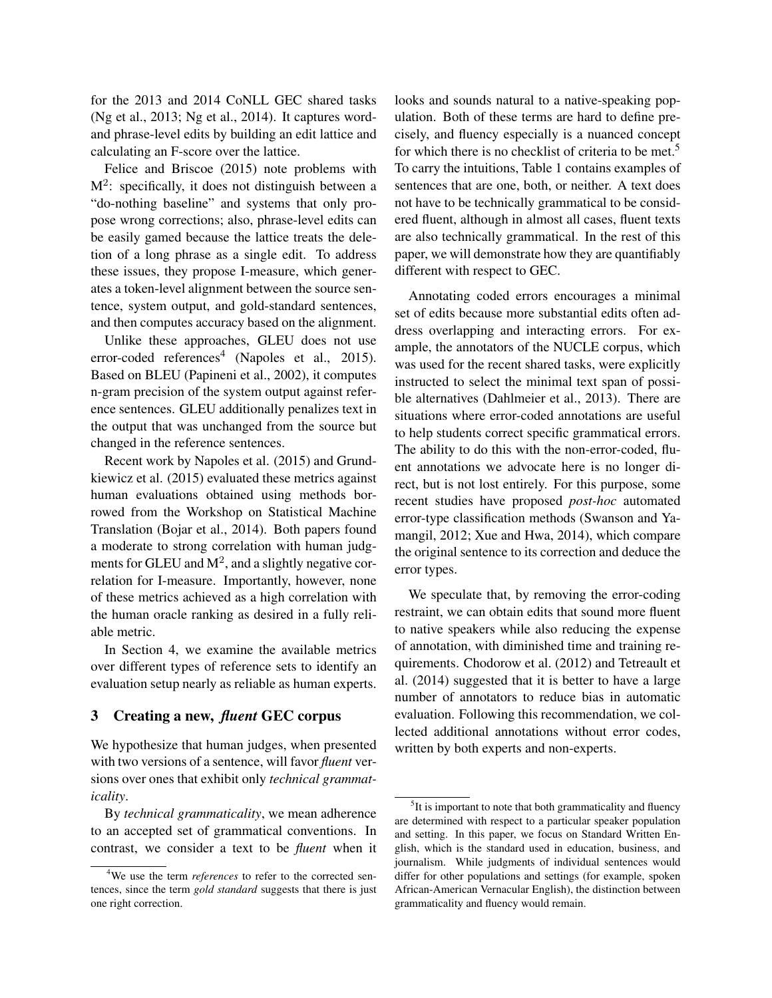for the 2013 and 2014 CoNLL GEC shared tasks [\(Ng et al., 2013;](#page-13-5) [Ng et al., 2014\)](#page-13-0). It captures wordand phrase-level edits by building an edit lattice and calculating an F-score over the lattice.

[Felice and Briscoe \(2015\)](#page-12-3) note problems with  $M^2$ : specifically, it does not distinguish between a "do-nothing baseline" and systems that only propose wrong corrections; also, phrase-level edits can be easily gamed because the lattice treats the deletion of a long phrase as a single edit. To address these issues, they propose I-measure, which generates a token-level alignment between the source sentence, system output, and gold-standard sentences, and then computes accuracy based on the alignment.

Unlike these approaches, GLEU does not use error-coded references<sup>[4](#page-3-1)</sup> [\(Napoles et al., 2015\)](#page-12-4). Based on BLEU [\(Papineni et al., 2002\)](#page-13-8), it computes n-gram precision of the system output against reference sentences. GLEU additionally penalizes text in the output that was unchanged from the source but changed in the reference sentences.

Recent work by Napoles et al. [\(2015\)](#page-12-4) and Grundkiewicz et al. [\(2015\)](#page-12-9) evaluated these metrics against human evaluations obtained using methods borrowed from the Workshop on Statistical Machine Translation [\(Bojar et al., 2014\)](#page-12-11). Both papers found a moderate to strong correlation with human judgments for GLEU and  $M^2$ , and a slightly negative correlation for I-measure. Importantly, however, none of these metrics achieved as a high correlation with the human oracle ranking as desired in a fully reliable metric.

In Section [4,](#page-7-0) we examine the available metrics over different types of reference sets to identify an evaluation setup nearly as reliable as human experts.

### <span id="page-3-0"></span>3 Creating a new, *fluent* GEC corpus

We hypothesize that human judges, when presented with two versions of a sentence, will favor *fluent* versions over ones that exhibit only *technical grammaticality*.

By *technical grammaticality*, we mean adherence to an accepted set of grammatical conventions. In contrast, we consider a text to be *fluent* when it

looks and sounds natural to a native-speaking population. Both of these terms are hard to define precisely, and fluency especially is a nuanced concept for which there is no checklist of criteria to be met.<sup>[5](#page-3-2)</sup> To carry the intuitions, Table [1](#page-4-0) contains examples of sentences that are one, both, or neither. A text does not have to be technically grammatical to be considered fluent, although in almost all cases, fluent texts are also technically grammatical. In the rest of this paper, we will demonstrate how they are quantifiably different with respect to GEC.

Annotating coded errors encourages a minimal set of edits because more substantial edits often address overlapping and interacting errors. For example, the annotators of the NUCLE corpus, which was used for the recent shared tasks, were explicitly instructed to select the minimal text span of possible alternatives [\(Dahlmeier et al., 2013\)](#page-12-6). There are situations where error-coded annotations are useful to help students correct specific grammatical errors. The ability to do this with the non-error-coded, fluent annotations we advocate here is no longer direct, but is not lost entirely. For this purpose, some recent studies have proposed *post-hoc* automated error-type classification methods [\(Swanson and Ya](#page-13-9)[mangil, 2012;](#page-13-9) [Xue and Hwa, 2014\)](#page-13-10), which compare the original sentence to its correction and deduce the error types.

We speculate that, by removing the error-coding restraint, we can obtain edits that sound more fluent to native speakers while also reducing the expense of annotation, with diminished time and training requirements. [Chodorow et al. \(2012\)](#page-12-12) and [Tetreault et](#page-13-11) [al. \(2014\)](#page-13-11) suggested that it is better to have a large number of annotators to reduce bias in automatic evaluation. Following this recommendation, we collected additional annotations without error codes, written by both experts and non-experts.

<span id="page-3-1"></span><sup>4</sup>We use the term *references* to refer to the corrected sentences, since the term *gold standard* suggests that there is just one right correction.

<span id="page-3-2"></span><sup>&</sup>lt;sup>5</sup>It is important to note that both grammaticality and fluency are determined with respect to a particular speaker population and setting. In this paper, we focus on Standard Written English, which is the standard used in education, business, and journalism. While judgments of individual sentences would differ for other populations and settings (for example, spoken African-American Vernacular English), the distinction between grammaticality and fluency would remain.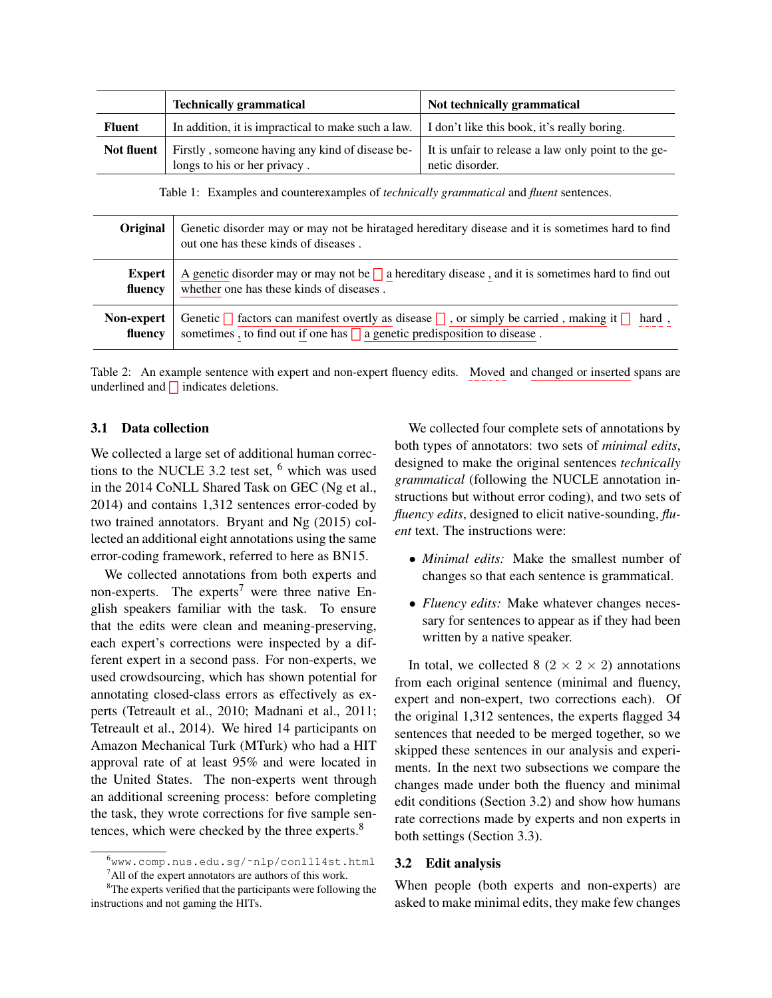|               | <b>Technically grammatical</b>                                                                         | Not technically grammatical                                            |
|---------------|--------------------------------------------------------------------------------------------------------|------------------------------------------------------------------------|
| <b>Fluent</b> | In addition, it is impractical to make such a law. $\vert$ I don't like this book, it's really boring. |                                                                        |
| Not fluent    | Firstly, someone having any kind of disease be-<br>longs to his or her privacy.                        | It is unfair to release a law only point to the ge-<br>netic disorder. |

<span id="page-4-0"></span>Table 1: Examples and counterexamples of *technically grammatical* and *fluent* sentences.

| <b>Original</b> | Genetic disorder may or may not be hirataged hereditary disease and it is sometimes hard to find<br>out one has these kinds of diseases. |
|-----------------|------------------------------------------------------------------------------------------------------------------------------------------|
| <b>Expert</b>   | A genetic disorder may or may not be $\Box$ a hereditary disease, and it is sometimes hard to find out                                   |
| fluency         | whether one has these kinds of diseases.                                                                                                 |
| Non-expert      | Genetic $\bigcap$ factors can manifest overtly as disease $\bigcap$ , or simply be carried, making it $\bigcap$ hard,                    |
| fluency         | sometimes , to find out if one has $\Box$ a genetic predisposition to disease.                                                           |

<span id="page-4-5"></span>Table 2: An example sentence with expert and non-expert fluency edits. Moved and changed or inserted spans are underlined and  $\Box$  indicates deletions.

#### <span id="page-4-6"></span>3.1 Data collection

We collected a large set of additional human corrections to the NUCLE 3.2 test set,  $<sup>6</sup>$  $<sup>6</sup>$  $<sup>6</sup>$  which was used</sup> in the 2014 CoNLL Shared Task on GEC [\(Ng et al.,](#page-13-0) [2014\)](#page-13-0) and contains 1,312 sentences error-coded by two trained annotators. [Bryant and Ng \(2015\)](#page-12-7) collected an additional eight annotations using the same error-coding framework, referred to here as BN15.

We collected annotations from both experts and non-experts. The experts<sup>[7](#page-4-2)</sup> were three native English speakers familiar with the task. To ensure that the edits were clean and meaning-preserving, each expert's corrections were inspected by a different expert in a second pass. For non-experts, we used crowdsourcing, which has shown potential for annotating closed-class errors as effectively as experts [\(Tetreault et al., 2010;](#page-13-12) [Madnani et al., 2011;](#page-12-13) [Tetreault et al., 2014\)](#page-13-11). We hired 14 participants on Amazon Mechanical Turk (MTurk) who had a HIT approval rate of at least 95% and were located in the United States. The non-experts went through an additional screening process: before completing the task, they wrote corrections for five sample sen-tences, which were checked by the three experts.<sup>[8](#page-4-3)</sup>

We collected four complete sets of annotations by both types of annotators: two sets of *minimal edits*, designed to make the original sentences *technically grammatical* (following the NUCLE annotation instructions but without error coding), and two sets of *fluency edits*, designed to elicit native-sounding, *fluent* text. The instructions were:

- *Minimal edits:* Make the smallest number of changes so that each sentence is grammatical.
- *Fluency edits:* Make whatever changes necessary for sentences to appear as if they had been written by a native speaker.

In total, we collected 8 ( $2 \times 2 \times 2$ ) annotations from each original sentence (minimal and fluency, expert and non-expert, two corrections each). Of the original 1,312 sentences, the experts flagged 34 sentences that needed to be merged together, so we skipped these sentences in our analysis and experiments. In the next two subsections we compare the changes made under both the fluency and minimal edit conditions (Section [3.2\)](#page-4-4) and show how humans rate corrections made by experts and non experts in both settings (Section [3.3\)](#page-6-0).

#### <span id="page-4-4"></span>3.2 Edit analysis

When people (both experts and non-experts) are asked to make minimal edits, they make few changes

<span id="page-4-2"></span><span id="page-4-1"></span><sup>6</sup>[www.comp.nus.edu.sg/˜nlp/conll14st.html](www.comp.nus.edu.sg/~nlp/conll14st.html) <sup>7</sup>All of the expert annotators are authors of this work.

<span id="page-4-3"></span><sup>&</sup>lt;sup>8</sup>The experts verified that the participants were following the instructions and not gaming the HITs.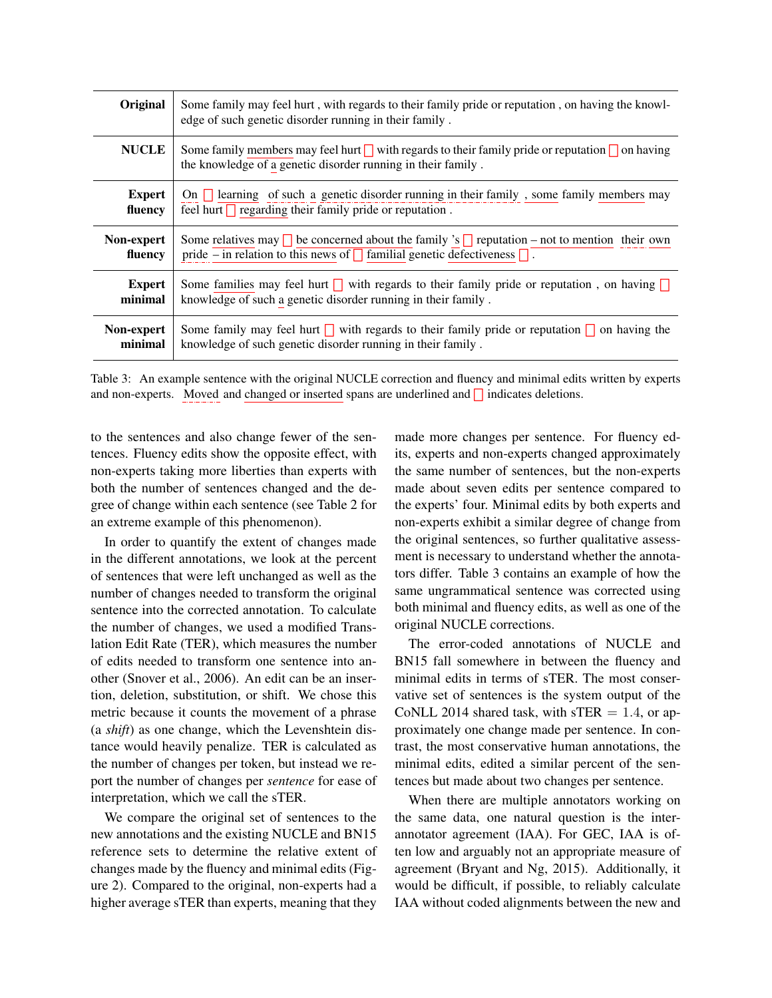| Original      | Some family may feel hurt, with regards to their family pride or reputation, on having the knowl-<br>edge of such genetic disorder running in their family.                |
|---------------|----------------------------------------------------------------------------------------------------------------------------------------------------------------------------|
| <b>NUCLE</b>  | Some family members may feel hurt $\Box$ with regards to their family pride or reputation $\Box$ on having<br>the knowledge of a genetic disorder running in their family. |
| <b>Expert</b> | On $\Box$ learning of such a genetic disorder running in their family, some family members may                                                                             |
| fluency       | feel hurt $\Box$ regarding their family pride or reputation.                                                                                                               |
| Non-expert    | Some relatives may $\Box$ be concerned about the family 's $\Box$ reputation – not to mention their own                                                                    |
| fluency       | pride – in relation to this news of $\Box$ familial genetic defectiveness $\Box$ .                                                                                         |
| <b>Expert</b> | Some families may feel hurt with regards to their family pride or reputation, on having                                                                                    |
| minimal       | knowledge of such a genetic disorder running in their family.                                                                                                              |
| Non-expert    | Some family may feel hurt with regards to their family pride or reputation $\Box$ on having the                                                                            |
| minimal       | knowledge of such genetic disorder running in their family.                                                                                                                |

<span id="page-5-0"></span>Table 3: An example sentence with the original NUCLE correction and fluency and minimal edits written by experts and non-experts. Moved and changed or inserted spans are underlined and  $\Box$  indicates deletions.

to the sentences and also change fewer of the sentences. Fluency edits show the opposite effect, with non-experts taking more liberties than experts with both the number of sentences changed and the degree of change within each sentence (see Table [2](#page-4-5) for an extreme example of this phenomenon).

In order to quantify the extent of changes made in the different annotations, we look at the percent of sentences that were left unchanged as well as the number of changes needed to transform the original sentence into the corrected annotation. To calculate the number of changes, we used a modified Translation Edit Rate (TER), which measures the number of edits needed to transform one sentence into another [\(Snover et al., 2006\)](#page-13-13). An edit can be an insertion, deletion, substitution, or shift. We chose this metric because it counts the movement of a phrase (a *shift*) as one change, which the Levenshtein distance would heavily penalize. TER is calculated as the number of changes per token, but instead we report the number of changes per *sentence* for ease of interpretation, which we call the sTER.

We compare the original set of sentences to the new annotations and the existing NUCLE and BN15 reference sets to determine the relative extent of changes made by the fluency and minimal edits (Figure [2\)](#page-6-1). Compared to the original, non-experts had a higher average sTER than experts, meaning that they made more changes per sentence. For fluency edits, experts and non-experts changed approximately the same number of sentences, but the non-experts made about seven edits per sentence compared to the experts' four. Minimal edits by both experts and non-experts exhibit a similar degree of change from the original sentences, so further qualitative assessment is necessary to understand whether the annotators differ. Table [3](#page-5-0) contains an example of how the same ungrammatical sentence was corrected using both minimal and fluency edits, as well as one of the original NUCLE corrections.

The error-coded annotations of NUCLE and BN15 fall somewhere in between the fluency and minimal edits in terms of sTER. The most conservative set of sentences is the system output of the CoNLL 2014 shared task, with sTER  $= 1.4$ , or approximately one change made per sentence. In contrast, the most conservative human annotations, the minimal edits, edited a similar percent of the sentences but made about two changes per sentence.

When there are multiple annotators working on the same data, one natural question is the interannotator agreement (IAA). For GEC, IAA is often low and arguably not an appropriate measure of agreement [\(Bryant and Ng, 2015\)](#page-12-7). Additionally, it would be difficult, if possible, to reliably calculate IAA without coded alignments between the new and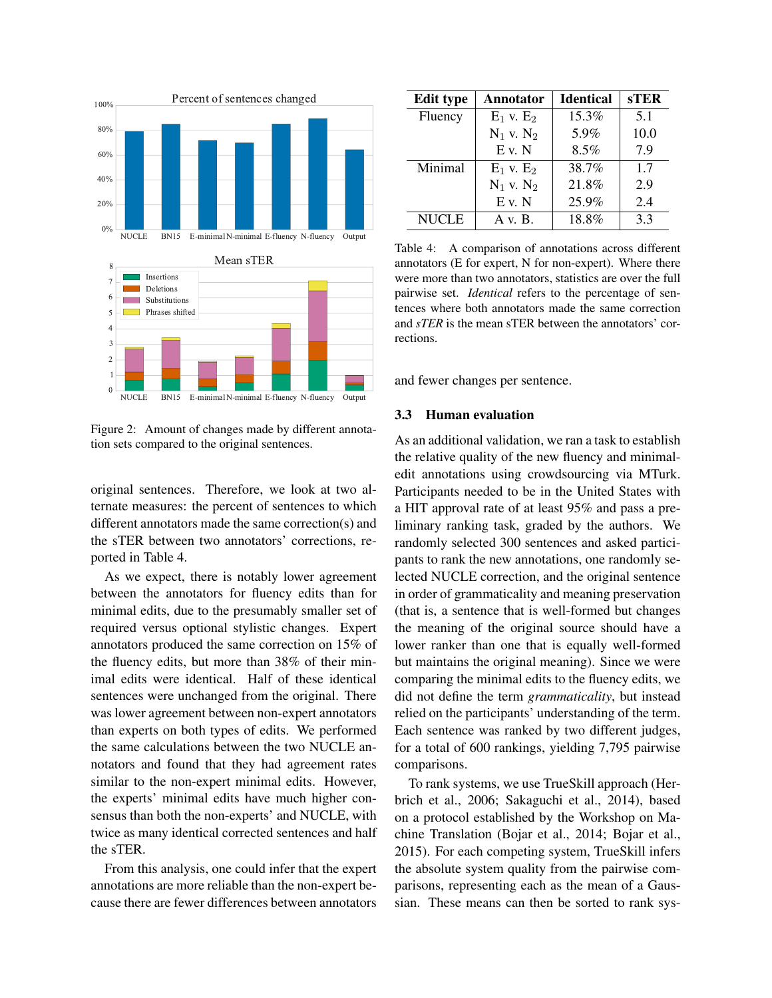

<span id="page-6-1"></span>Figure 2: Amount of changes made by different annotation sets compared to the original sentences.

original sentences. Therefore, we look at two alternate measures: the percent of sentences to which different annotators made the same correction(s) and the sTER between two annotators' corrections, reported in Table [4.](#page-6-2)

As we expect, there is notably lower agreement between the annotators for fluency edits than for minimal edits, due to the presumably smaller set of required versus optional stylistic changes. Expert annotators produced the same correction on 15% of the fluency edits, but more than 38% of their minimal edits were identical. Half of these identical sentences were unchanged from the original. There was lower agreement between non-expert annotators than experts on both types of edits. We performed the same calculations between the two NUCLE annotators and found that they had agreement rates similar to the non-expert minimal edits. However, the experts' minimal edits have much higher consensus than both the non-experts' and NUCLE, with twice as many identical corrected sentences and half the sTER.

From this analysis, one could infer that the expert annotations are more reliable than the non-expert because there are fewer differences between annotators

| <b>Edit type</b> | Annotator      | <b>Identical</b> | <b>sTER</b> |
|------------------|----------------|------------------|-------------|
| Fluency          | $E_1$ v. $E_2$ | 15.3%            | 5.1         |
|                  | $N_1$ v. $N_2$ | 5.9%             | 10.0        |
|                  | $E$ v. N       | 8.5%             | 7.9         |
| Minimal          | $E_1$ v. $E_2$ | 38.7%            | 1.7         |
|                  | $N_1$ v. $N_2$ | 21.8%            | 2.9         |
|                  | $E$ v. N       | 25.9%            | 2.4         |
| <b>NUCLE</b>     | A v. B.        | 18.8%            | 3.3         |

<span id="page-6-2"></span>Table 4: A comparison of annotations across different annotators (E for expert, N for non-expert). Where there were more than two annotators, statistics are over the full pairwise set. *Identical* refers to the percentage of sentences where both annotators made the same correction and *sTER* is the mean sTER between the annotators' corrections.

and fewer changes per sentence.

#### <span id="page-6-0"></span>3.3 Human evaluation

As an additional validation, we ran a task to establish the relative quality of the new fluency and minimaledit annotations using crowdsourcing via MTurk. Participants needed to be in the United States with a HIT approval rate of at least 95% and pass a preliminary ranking task, graded by the authors. We randomly selected 300 sentences and asked participants to rank the new annotations, one randomly selected NUCLE correction, and the original sentence in order of grammaticality and meaning preservation (that is, a sentence that is well-formed but changes the meaning of the original source should have a lower ranker than one that is equally well-formed but maintains the original meaning). Since we were comparing the minimal edits to the fluency edits, we did not define the term *grammaticality*, but instead relied on the participants' understanding of the term. Each sentence was ranked by two different judges, for a total of 600 rankings, yielding 7,795 pairwise comparisons.

To rank systems, we use TrueSkill approach [\(Her](#page-12-14)[brich et al., 2006;](#page-12-14) [Sakaguchi et al., 2014\)](#page-13-14), based on a protocol established by the Workshop on Machine Translation [\(Bojar et al., 2014;](#page-12-11) [Bojar et al.,](#page-12-15) [2015\)](#page-12-15). For each competing system, TrueSkill infers the absolute system quality from the pairwise comparisons, representing each as the mean of a Gaussian. These means can then be sorted to rank sys-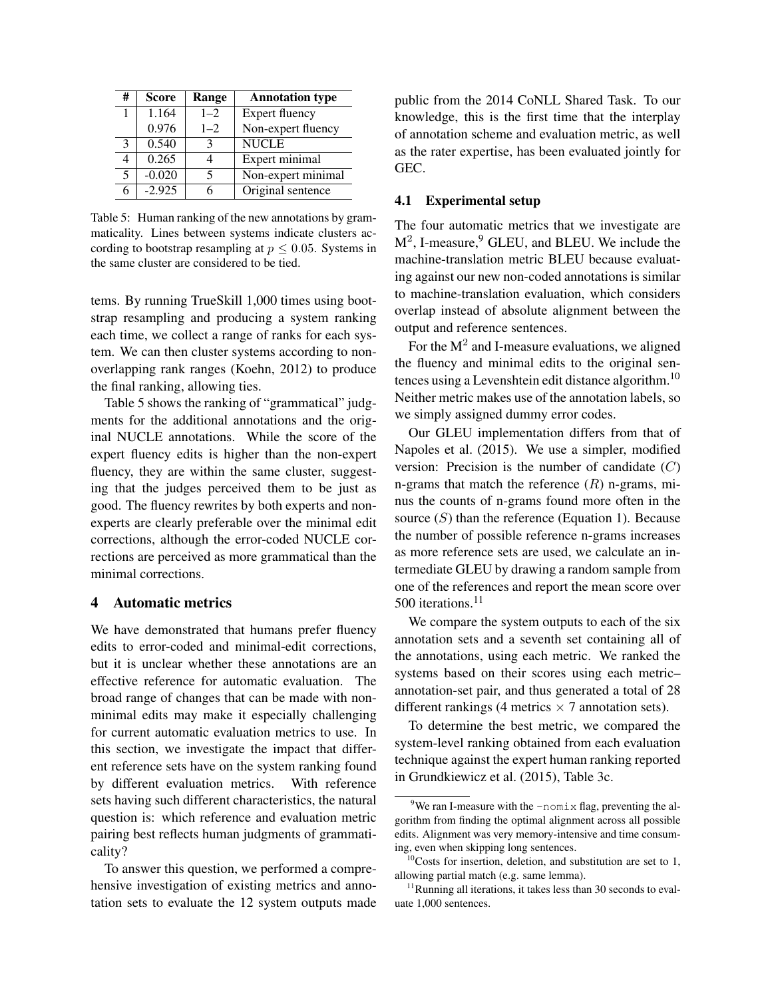| #             | <b>Score</b> | Range   | <b>Annotation type</b> |
|---------------|--------------|---------|------------------------|
|               | 1.164        | $1 - 2$ | <b>Expert fluency</b>  |
|               | 0.976        | $1 - 2$ | Non-expert fluency     |
| $\mathcal{R}$ | 0.540        |         | <b>NUCLE</b>           |
|               | 0.265        |         | Expert minimal         |
| 5             | $-0.020$     |         | Non-expert minimal     |
|               | $-2.925$     |         | Original sentence      |

<span id="page-7-1"></span>Table 5: Human ranking of the new annotations by grammaticality. Lines between systems indicate clusters according to bootstrap resampling at  $p \leq 0.05$ . Systems in the same cluster are considered to be tied.

tems. By running TrueSkill 1,000 times using bootstrap resampling and producing a system ranking each time, we collect a range of ranks for each system. We can then cluster systems according to nonoverlapping rank ranges [\(Koehn, 2012\)](#page-12-16) to produce the final ranking, allowing ties.

Table [5](#page-7-1) shows the ranking of "grammatical" judgments for the additional annotations and the original NUCLE annotations. While the score of the expert fluency edits is higher than the non-expert fluency, they are within the same cluster, suggesting that the judges perceived them to be just as good. The fluency rewrites by both experts and nonexperts are clearly preferable over the minimal edit corrections, although the error-coded NUCLE corrections are perceived as more grammatical than the minimal corrections.

## <span id="page-7-0"></span>4 Automatic metrics

We have demonstrated that humans prefer fluency edits to error-coded and minimal-edit corrections, but it is unclear whether these annotations are an effective reference for automatic evaluation. The broad range of changes that can be made with nonminimal edits may make it especially challenging for current automatic evaluation metrics to use. In this section, we investigate the impact that different reference sets have on the system ranking found by different evaluation metrics. With reference sets having such different characteristics, the natural question is: which reference and evaluation metric pairing best reflects human judgments of grammaticality?

To answer this question, we performed a comprehensive investigation of existing metrics and annotation sets to evaluate the 12 system outputs made public from the 2014 CoNLL Shared Task. To our knowledge, this is the first time that the interplay of annotation scheme and evaluation metric, as well as the rater expertise, has been evaluated jointly for GEC.

#### <span id="page-7-5"></span>4.1 Experimental setup

The four automatic metrics that we investigate are  $M^2$ , I-measure,  $9$  GLEU, and BLEU. We include the machine-translation metric BLEU because evaluating against our new non-coded annotations is similar to machine-translation evaluation, which considers overlap instead of absolute alignment between the output and reference sentences.

For the  $M^2$  and I-measure evaluations, we aligned the fluency and minimal edits to the original sentences using a Levenshtein edit distance algorithm.[10](#page-7-3) Neither metric makes use of the annotation labels, so we simply assigned dummy error codes.

Our GLEU implementation differs from that of [Napoles et al. \(2015\)](#page-12-4). We use a simpler, modified version: Precision is the number of candidate  $(C)$ n-grams that match the reference  $(R)$  n-grams, minus the counts of n-grams found more often in the source  $(S)$  than the reference (Equation [1\)](#page-8-0). Because the number of possible reference n-grams increases as more reference sets are used, we calculate an intermediate GLEU by drawing a random sample from one of the references and report the mean score over 500 iterations.<sup>[11](#page-7-4)</sup>

We compare the system outputs to each of the six annotation sets and a seventh set containing all of the annotations, using each metric. We ranked the systems based on their scores using each metric– annotation-set pair, and thus generated a total of 28 different rankings (4 metrics  $\times$  7 annotation sets).

To determine the best metric, we compared the system-level ranking obtained from each evaluation technique against the expert human ranking reported in [Grundkiewicz et al. \(2015\)](#page-12-9), Table 3c.

<span id="page-7-2"></span><sup>&</sup>lt;sup>9</sup>We ran I-measure with the  $-nomix$  flag, preventing the algorithm from finding the optimal alignment across all possible edits. Alignment was very memory-intensive and time consuming, even when skipping long sentences.

<span id="page-7-3"></span> $10$ Costs for insertion, deletion, and substitution are set to 1, allowing partial match (e.g. same lemma).

<span id="page-7-4"></span> $11$ Running all iterations, it takes less than 30 seconds to evaluate 1,000 sentences.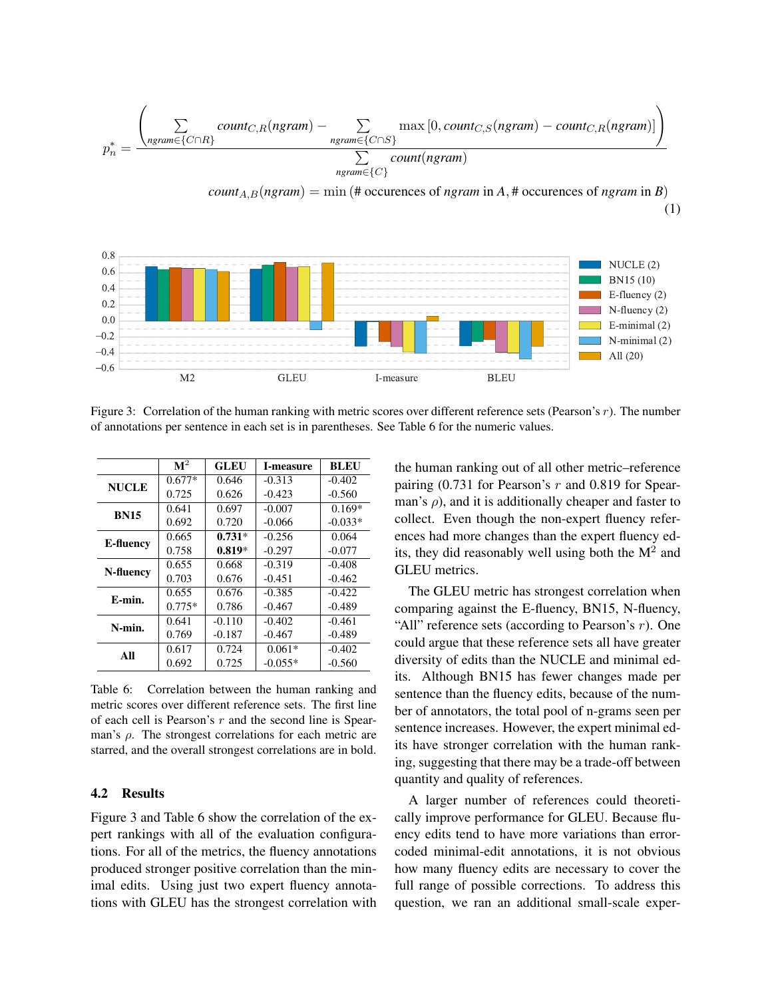$$
p_n^* = \frac{\left(\sum\limits_{ngram \in \{C \cap R\}} count_{C,R}(ngram) - \sum\limits_{ngram \in \{C \cap S\}} max[0, count_{C,S}(ngram) - count_{C,R}(ngram)]\right)}{\sum\limits_{ngram \in \{C\}} count(ngram)}
$$

 $count_{A,B}(ngram) = \min(\# \text{ occurrences of } ngram \text{ in } A, \# \text{ occurrences of } ngram \text{ in } B)$ (1)



<span id="page-8-2"></span>Figure 3: Correlation of the human ranking with metric scores over different reference sets (Pearson's  $r$ ). The number of annotations per sentence in each set is in parentheses. See Table [6](#page-8-1) for the numeric values.

|              | $\mathbf{M}^2$ | <b>GLEU</b> | I-measure | <b>BLEU</b> |
|--------------|----------------|-------------|-----------|-------------|
| <b>NUCLE</b> | $0.677*$       | 0.646       | $-0.313$  | $-0.402$    |
|              | 0.725          | 0.626       | $-0.423$  | $-0.560$    |
| <b>BN15</b>  | 0.641          | 0.697       | $-0.007$  | $0.169*$    |
|              | 0.692          | 0.720       | $-0.066$  | $-0.033*$   |
|              | 0.665          | $0.731*$    | $-0.256$  | 0.064       |
| E-fluency    | 0.758          | $0.819*$    | $-0.297$  | $-0.077$    |
| N-fluency    | 0.655          | 0.668       | $-0.319$  | $-0.408$    |
|              | 0.703          | 0.676       | $-0.451$  | $-0.462$    |
| E-min.       | 0.655          | 0.676       | $-0.385$  | $-0.422$    |
|              | $0.775*$       | 0.786       | $-0.467$  | $-0.489$    |
| N-min.       | 0.641          | $-0.110$    | $-0.402$  | $-0.461$    |
|              | 0.769          | $-0.187$    | $-0.467$  | $-0.489$    |
| All          | 0.617          | 0.724       | $0.061*$  | $-0.402$    |
|              | 0.692          | 0.725       | $-0.055*$ | $-0.560$    |

<span id="page-8-1"></span>Table 6: Correlation between the human ranking and metric scores over different reference sets. The first line of each cell is Pearson's  $r$  and the second line is Spearman's  $\rho$ . The strongest correlations for each metric are starred, and the overall strongest correlations are in bold.

#### <span id="page-8-3"></span>4.2 Results

Figure [3](#page-8-2) and Table [6](#page-8-1) show the correlation of the expert rankings with all of the evaluation configurations. For all of the metrics, the fluency annotations produced stronger positive correlation than the minimal edits. Using just two expert fluency annotations with GLEU has the strongest correlation with <span id="page-8-0"></span>the human ranking out of all other metric–reference pairing  $(0.731$  for Pearson's  $r$  and 0.819 for Spearman's  $\rho$ ), and it is additionally cheaper and faster to collect. Even though the non-expert fluency references had more changes than the expert fluency edits, they did reasonably well using both the  $M^2$  and GLEU metrics.

The GLEU metric has strongest correlation when comparing against the E-fluency, BN15, N-fluency, "All" reference sets (according to Pearson's  $r$ ). One could argue that these reference sets all have greater diversity of edits than the NUCLE and minimal edits. Although BN15 has fewer changes made per sentence than the fluency edits, because of the number of annotators, the total pool of n-grams seen per sentence increases. However, the expert minimal edits have stronger correlation with the human ranking, suggesting that there may be a trade-off between quantity and quality of references.

A larger number of references could theoretically improve performance for GLEU. Because fluency edits tend to have more variations than errorcoded minimal-edit annotations, it is not obvious how many fluency edits are necessary to cover the full range of possible corrections. To address this question, we ran an additional small-scale exper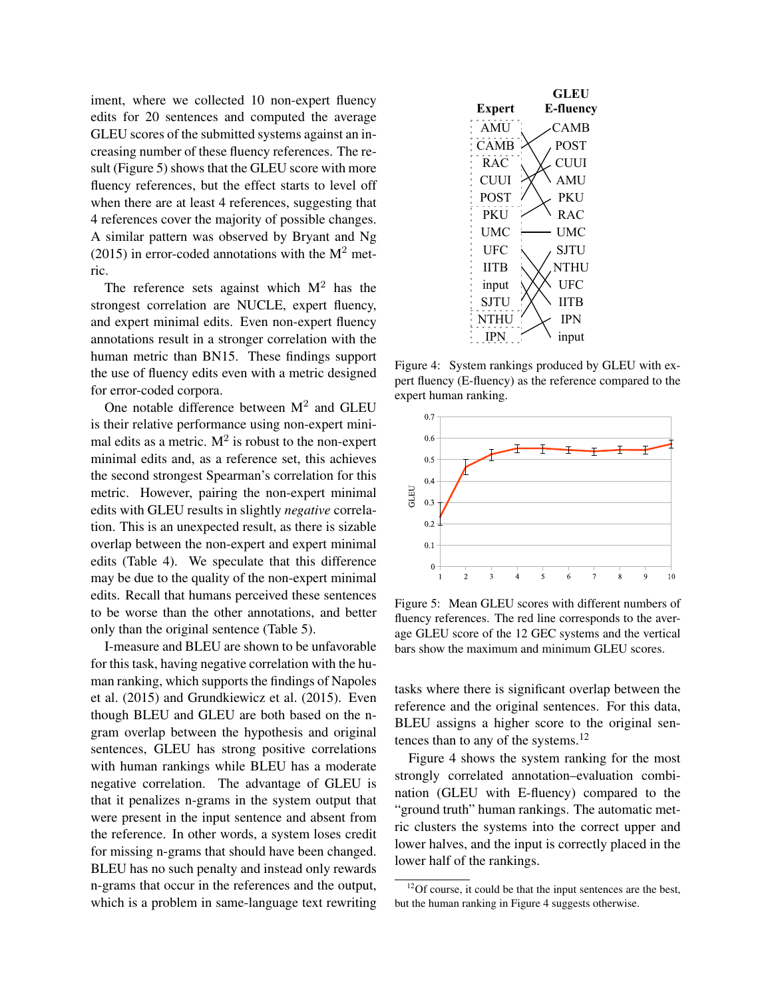iment, where we collected 10 non-expert fluency edits for 20 sentences and computed the average GLEU scores of the submitted systems against an increasing number of these fluency references. The result (Figure [5\)](#page-9-0) shows that the GLEU score with more fluency references, but the effect starts to level off when there are at least 4 references, suggesting that 4 references cover the majority of possible changes. A similar pattern was observed by [Bryant and Ng](#page-12-7) [\(2015\)](#page-12-7) in error-coded annotations with the  $M^2$  metric.

The reference sets against which  $M<sup>2</sup>$  has the strongest correlation are NUCLE, expert fluency, and expert minimal edits. Even non-expert fluency annotations result in a stronger correlation with the human metric than BN15. These findings support the use of fluency edits even with a metric designed for error-coded corpora.

One notable difference between  $M^2$  and GLEU is their relative performance using non-expert minimal edits as a metric.  $M^2$  is robust to the non-expert minimal edits and, as a reference set, this achieves the second strongest Spearman's correlation for this metric. However, pairing the non-expert minimal edits with GLEU results in slightly *negative* correlation. This is an unexpected result, as there is sizable overlap between the non-expert and expert minimal edits (Table [4\)](#page-6-2). We speculate that this difference may be due to the quality of the non-expert minimal edits. Recall that humans perceived these sentences to be worse than the other annotations, and better only than the original sentence (Table [5\)](#page-7-1).

I-measure and BLEU are shown to be unfavorable for this task, having negative correlation with the human ranking, which supports the findings of [Napoles](#page-12-4) [et al. \(2015\)](#page-12-4) and [Grundkiewicz et al. \(2015\)](#page-12-9). Even though BLEU and GLEU are both based on the ngram overlap between the hypothesis and original sentences, GLEU has strong positive correlations with human rankings while BLEU has a moderate negative correlation. The advantage of GLEU is that it penalizes n-grams in the system output that were present in the input sentence and absent from the reference. In other words, a system loses credit for missing n-grams that should have been changed. BLEU has no such penalty and instead only rewards n-grams that occur in the references and the output, which is a problem in same-language text rewriting



<span id="page-9-2"></span>Figure 4: System rankings produced by GLEU with expert fluency (E-fluency) as the reference compared to the expert human ranking.



<span id="page-9-0"></span>Figure 5: Mean GLEU scores with different numbers of fluency references. The red line corresponds to the average GLEU score of the 12 GEC systems and the vertical bars show the maximum and minimum GLEU scores.

tasks where there is significant overlap between the reference and the original sentences. For this data, BLEU assigns a higher score to the original sen-tences than to any of the systems.<sup>[12](#page-9-1)</sup>

Figure [4](#page-9-2) shows the system ranking for the most strongly correlated annotation–evaluation combination (GLEU with E-fluency) compared to the "ground truth" human rankings. The automatic metric clusters the systems into the correct upper and lower halves, and the input is correctly placed in the lower half of the rankings.

<span id="page-9-1"></span> $12$ Of course, it could be that the input sentences are the best, but the human ranking in Figure [4](#page-9-2) suggests otherwise.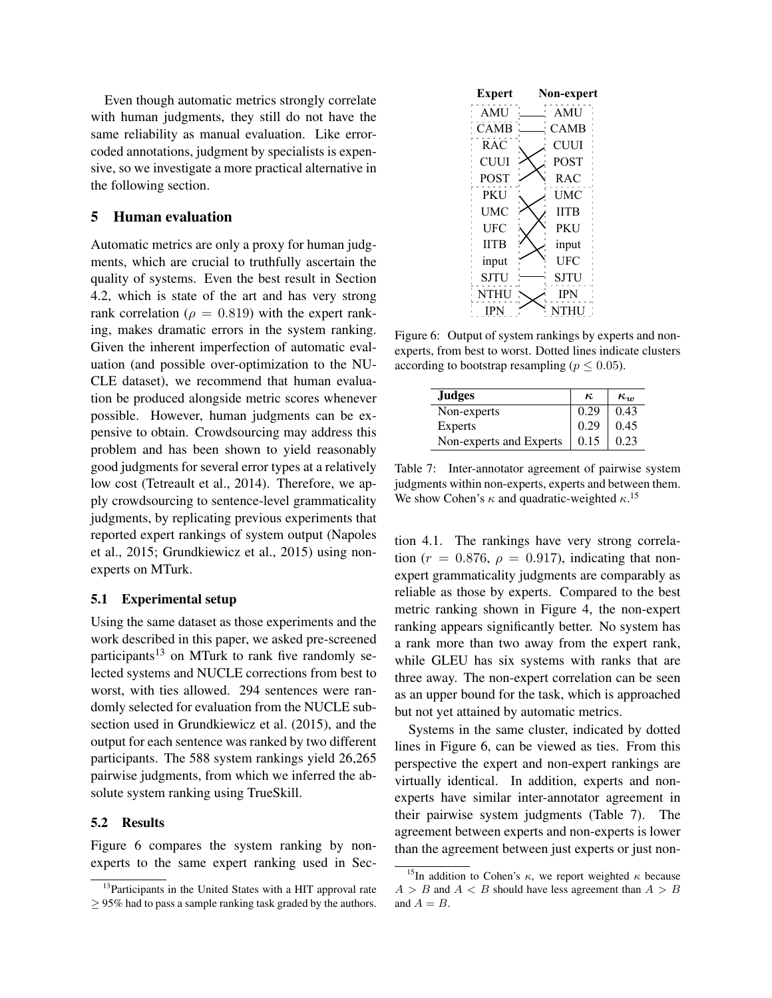Even though automatic metrics strongly correlate with human judgments, they still do not have the same reliability as manual evaluation. Like errorcoded annotations, judgment by specialists is expensive, so we investigate a more practical alternative in the following section.

### 5 Human evaluation

Automatic metrics are only a proxy for human judgments, which are crucial to truthfully ascertain the quality of systems. Even the best result in Section [4.2,](#page-8-3) which is state of the art and has very strong rank correlation ( $\rho = 0.819$ ) with the expert ranking, makes dramatic errors in the system ranking. Given the inherent imperfection of automatic evaluation (and possible over-optimization to the NU-CLE dataset), we recommend that human evaluation be produced alongside metric scores whenever possible. However, human judgments can be expensive to obtain. Crowdsourcing may address this problem and has been shown to yield reasonably good judgments for several error types at a relatively low cost [\(Tetreault et al., 2014\)](#page-13-11). Therefore, we apply crowdsourcing to sentence-level grammaticality judgments, by replicating previous experiments that reported expert rankings of system output [\(Napoles](#page-12-4) [et al., 2015;](#page-12-4) [Grundkiewicz et al., 2015\)](#page-12-9) using nonexperts on MTurk.

## 5.1 Experimental setup

Using the same dataset as those experiments and the work described in this paper, we asked pre-screened participants<sup>[13](#page-10-0)</sup> on MTurk to rank five randomly selected systems and NUCLE corrections from best to worst, with ties allowed. 294 sentences were randomly selected for evaluation from the NUCLE subsection used in [Grundkiewicz et al. \(2015\)](#page-12-9), and the output for each sentence was ranked by two different participants. The 588 system rankings yield 26,265 pairwise judgments, from which we inferred the absolute system ranking using TrueSkill.

#### 5.2 Results

Figure [6](#page-10-1) compares the system ranking by nonexperts to the same expert ranking used in Sec-



<span id="page-10-1"></span>Figure 6: Output of system rankings by experts and nonexperts, from best to worst. Dotted lines indicate clusters according to bootstrap resampling ( $p \leq 0.05$ ).

| <b>Judges</b>           | $\kappa$ | $\kappa_{\rm m}$ |
|-------------------------|----------|------------------|
| Non-experts             | 0.29     | 0.43             |
| Experts                 | 0.29     | 0.45             |
| Non-experts and Experts | 0.15     | 0.23             |

<span id="page-10-3"></span>Table 7: Inter-annotator agreement of pairwise system judgments within non-experts, experts and between them. We show Cohen's  $\kappa$  and quadratic-weighted  $\kappa$ .<sup>[15](#page-10-2)</sup>

tion [4.1.](#page-7-5) The rankings have very strong correlation ( $r = 0.876$ ,  $\rho = 0.917$ ), indicating that nonexpert grammaticality judgments are comparably as reliable as those by experts. Compared to the best metric ranking shown in Figure [4,](#page-9-2) the non-expert ranking appears significantly better. No system has a rank more than two away from the expert rank, while GLEU has six systems with ranks that are three away. The non-expert correlation can be seen as an upper bound for the task, which is approached but not yet attained by automatic metrics.

Systems in the same cluster, indicated by dotted lines in Figure [6,](#page-10-1) can be viewed as ties. From this perspective the expert and non-expert rankings are virtually identical. In addition, experts and nonexperts have similar inter-annotator agreement in their pairwise system judgments (Table [7\)](#page-10-3). The agreement between experts and non-experts is lower than the agreement between just experts or just non-

<span id="page-10-0"></span><sup>&</sup>lt;sup>13</sup>Participants in the United States with a HIT approval rate  $\geq$  95% had to pass a sample ranking task graded by the authors.

<span id="page-10-2"></span><sup>&</sup>lt;sup>15</sup>In addition to Cohen's  $\kappa$ , we report weighted  $\kappa$  because  $A > B$  and  $A < B$  should have less agreement than  $A > B$ and  $A = B$ .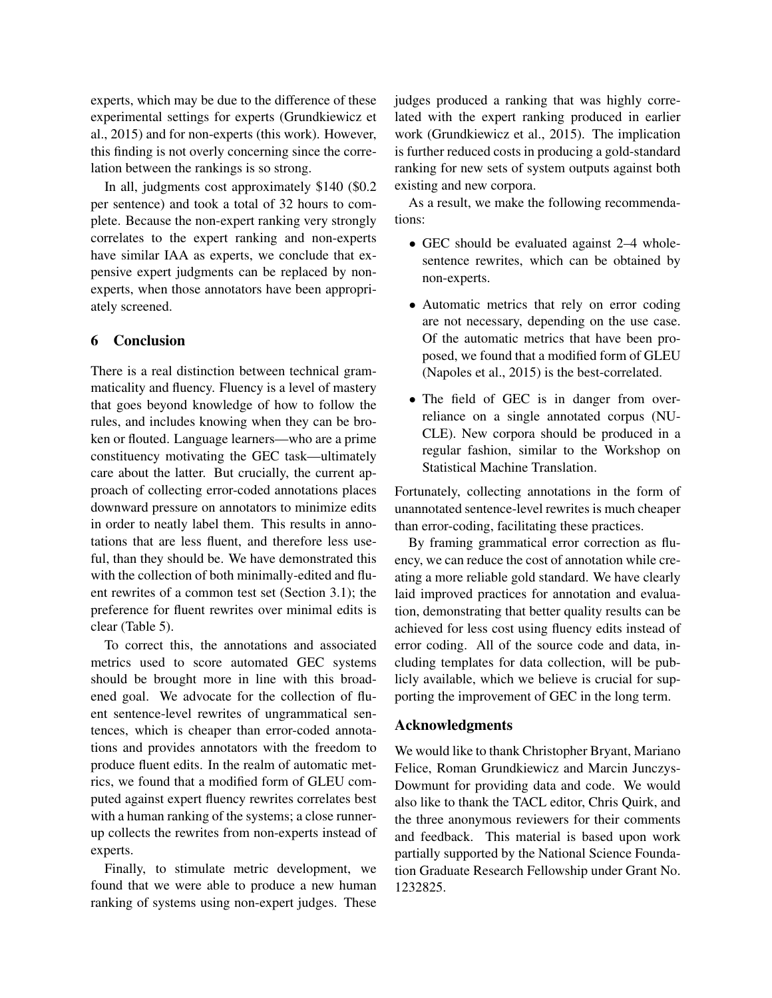experts, which may be due to the difference of these experimental settings for experts [\(Grundkiewicz et](#page-12-9) [al., 2015\)](#page-12-9) and for non-experts (this work). However, this finding is not overly concerning since the correlation between the rankings is so strong.

In all, judgments cost approximately \$140 (\$0.2 per sentence) and took a total of 32 hours to complete. Because the non-expert ranking very strongly correlates to the expert ranking and non-experts have similar IAA as experts, we conclude that expensive expert judgments can be replaced by nonexperts, when those annotators have been appropriately screened.

# 6 Conclusion

There is a real distinction between technical grammaticality and fluency. Fluency is a level of mastery that goes beyond knowledge of how to follow the rules, and includes knowing when they can be broken or flouted. Language learners—who are a prime constituency motivating the GEC task—ultimately care about the latter. But crucially, the current approach of collecting error-coded annotations places downward pressure on annotators to minimize edits in order to neatly label them. This results in annotations that are less fluent, and therefore less useful, than they should be. We have demonstrated this with the collection of both minimally-edited and fluent rewrites of a common test set (Section [3.1\)](#page-4-6); the preference for fluent rewrites over minimal edits is clear (Table [5\)](#page-7-1).

To correct this, the annotations and associated metrics used to score automated GEC systems should be brought more in line with this broadened goal. We advocate for the collection of fluent sentence-level rewrites of ungrammatical sentences, which is cheaper than error-coded annotations and provides annotators with the freedom to produce fluent edits. In the realm of automatic metrics, we found that a modified form of GLEU computed against expert fluency rewrites correlates best with a human ranking of the systems; a close runnerup collects the rewrites from non-experts instead of experts.

Finally, to stimulate metric development, we found that we were able to produce a new human ranking of systems using non-expert judges. These judges produced a ranking that was highly correlated with the expert ranking produced in earlier work [\(Grundkiewicz et al., 2015\)](#page-12-9). The implication is further reduced costs in producing a gold-standard ranking for new sets of system outputs against both existing and new corpora.

As a result, we make the following recommendations:

- GEC should be evaluated against 2–4 wholesentence rewrites, which can be obtained by non-experts.
- Automatic metrics that rely on error coding are not necessary, depending on the use case. Of the automatic metrics that have been proposed, we found that a modified form of GLEU [\(Napoles et al., 2015\)](#page-12-4) is the best-correlated.
- The field of GEC is in danger from overreliance on a single annotated corpus (NU-CLE). New corpora should be produced in a regular fashion, similar to the Workshop on Statistical Machine Translation.

Fortunately, collecting annotations in the form of unannotated sentence-level rewrites is much cheaper than error-coding, facilitating these practices.

By framing grammatical error correction as fluency, we can reduce the cost of annotation while creating a more reliable gold standard. We have clearly laid improved practices for annotation and evaluation, demonstrating that better quality results can be achieved for less cost using fluency edits instead of error coding. All of the source code and data, including templates for data collection, will be publicly available, which we believe is crucial for supporting the improvement of GEC in the long term.

## Acknowledgments

We would like to thank Christopher Bryant, Mariano Felice, Roman Grundkiewicz and Marcin Junczys-Dowmunt for providing data and code. We would also like to thank the TACL editor, Chris Quirk, and the three anonymous reviewers for their comments and feedback. This material is based upon work partially supported by the National Science Foundation Graduate Research Fellowship under Grant No. 1232825.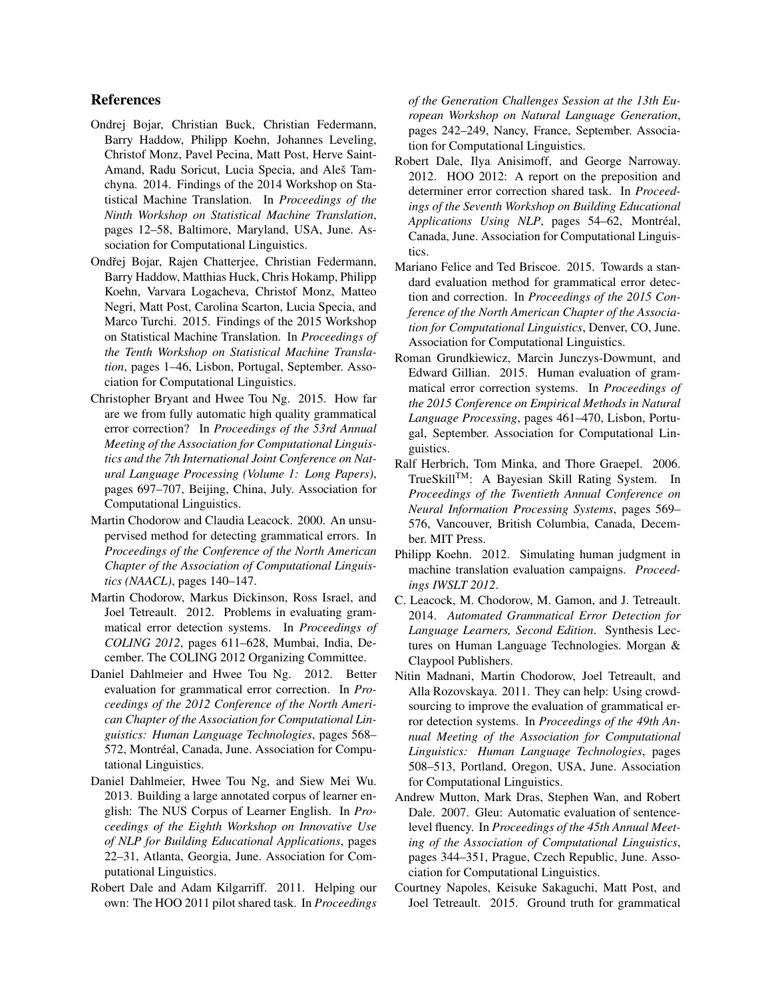## References

- <span id="page-12-11"></span>Ondrej Bojar, Christian Buck, Christian Federmann, Barry Haddow, Philipp Koehn, Johannes Leveling, Christof Monz, Pavel Pecina, Matt Post, Herve Saint-Amand, Radu Soricut, Lucia Specia, and Aleš Tamchyna. 2014. Findings of the 2014 Workshop on Statistical Machine Translation. In *Proceedings of the Ninth Workshop on Statistical Machine Translation*, pages 12–58, Baltimore, Maryland, USA, June. Association for Computational Linguistics.
- <span id="page-12-15"></span>Ondřej Bojar, Rajen Chatterjee, Christian Federmann, Barry Haddow, Matthias Huck, Chris Hokamp, Philipp Koehn, Varvara Logacheva, Christof Monz, Matteo Negri, Matt Post, Carolina Scarton, Lucia Specia, and Marco Turchi. 2015. Findings of the 2015 Workshop on Statistical Machine Translation. In *Proceedings of the Tenth Workshop on Statistical Machine Translation*, pages 1–46, Lisbon, Portugal, September. Association for Computational Linguistics.
- <span id="page-12-7"></span>Christopher Bryant and Hwee Tou Ng. 2015. How far are we from fully automatic high quality grammatical error correction? In *Proceedings of the 53rd Annual Meeting of the Association for Computational Linguistics and the 7th International Joint Conference on Natural Language Processing (Volume 1: Long Papers)*, pages 697–707, Beijing, China, July. Association for Computational Linguistics.
- <span id="page-12-0"></span>Martin Chodorow and Claudia Leacock. 2000. An unsupervised method for detecting grammatical errors. In *Proceedings of the Conference of the North American Chapter of the Association of Computational Linguistics (NAACL)*, pages 140–147.
- <span id="page-12-12"></span>Martin Chodorow, Markus Dickinson, Ross Israel, and Joel Tetreault. 2012. Problems in evaluating grammatical error detection systems. In *Proceedings of COLING 2012*, pages 611–628, Mumbai, India, December. The COLING 2012 Organizing Committee.
- <span id="page-12-10"></span>Daniel Dahlmeier and Hwee Tou Ng. 2012. Better evaluation for grammatical error correction. In *Proceedings of the 2012 Conference of the North American Chapter of the Association for Computational Linguistics: Human Language Technologies*, pages 568– 572, Montréal, Canada, June. Association for Computational Linguistics.
- <span id="page-12-6"></span>Daniel Dahlmeier, Hwee Tou Ng, and Siew Mei Wu. 2013. Building a large annotated corpus of learner english: The NUS Corpus of Learner English. In *Proceedings of the Eighth Workshop on Innovative Use of NLP for Building Educational Applications*, pages 22–31, Atlanta, Georgia, June. Association for Computational Linguistics.
- <span id="page-12-1"></span>Robert Dale and Adam Kilgarriff. 2011. Helping our own: The HOO 2011 pilot shared task. In *Proceedings*

*of the Generation Challenges Session at the 13th European Workshop on Natural Language Generation*, pages 242–249, Nancy, France, September. Association for Computational Linguistics.

- <span id="page-12-8"></span>Robert Dale, Ilya Anisimoff, and George Narroway. 2012. HOO 2012: A report on the preposition and determiner error correction shared task. In *Proceedings of the Seventh Workshop on Building Educational* Applications Using NLP, pages 54–62, Montréal, Canada, June. Association for Computational Linguistics.
- <span id="page-12-3"></span>Mariano Felice and Ted Briscoe. 2015. Towards a standard evaluation method for grammatical error detection and correction. In *Proceedings of the 2015 Conference of the North American Chapter of the Association for Computational Linguistics*, Denver, CO, June. Association for Computational Linguistics.
- <span id="page-12-9"></span>Roman Grundkiewicz, Marcin Junczys-Dowmunt, and Edward Gillian. 2015. Human evaluation of grammatical error correction systems. In *Proceedings of the 2015 Conference on Empirical Methods in Natural Language Processing*, pages 461–470, Lisbon, Portugal, September. Association for Computational Linguistics.
- <span id="page-12-14"></span>Ralf Herbrich, Tom Minka, and Thore Graepel. 2006. TrueSkillTM: A Bayesian Skill Rating System. In *Proceedings of the Twentieth Annual Conference on Neural Information Processing Systems*, pages 569– 576, Vancouver, British Columbia, Canada, December. MIT Press.
- <span id="page-12-16"></span>Philipp Koehn. 2012. Simulating human judgment in machine translation evaluation campaigns. *Proceedings IWSLT 2012*.
- <span id="page-12-2"></span>C. Leacock, M. Chodorow, M. Gamon, and J. Tetreault. 2014. *Automated Grammatical Error Detection for Language Learners, Second Edition*. Synthesis Lectures on Human Language Technologies. Morgan & Claypool Publishers.
- <span id="page-12-13"></span>Nitin Madnani, Martin Chodorow, Joel Tetreault, and Alla Rozovskaya. 2011. They can help: Using crowdsourcing to improve the evaluation of grammatical error detection systems. In *Proceedings of the 49th Annual Meeting of the Association for Computational Linguistics: Human Language Technologies*, pages 508–513, Portland, Oregon, USA, June. Association for Computational Linguistics.
- <span id="page-12-5"></span>Andrew Mutton, Mark Dras, Stephen Wan, and Robert Dale. 2007. Gleu: Automatic evaluation of sentencelevel fluency. In *Proceedings of the 45th Annual Meeting of the Association of Computational Linguistics*, pages 344–351, Prague, Czech Republic, June. Association for Computational Linguistics.
- <span id="page-12-4"></span>Courtney Napoles, Keisuke Sakaguchi, Matt Post, and Joel Tetreault. 2015. Ground truth for grammatical